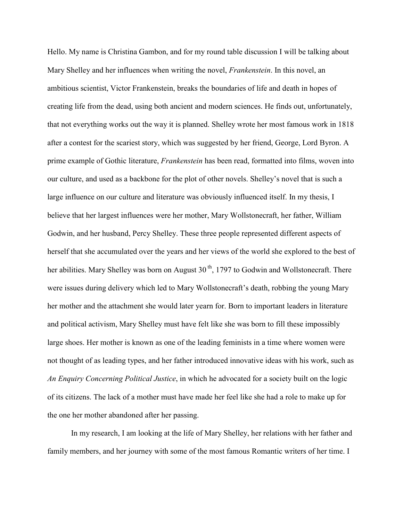Hello. My name is Christina Gambon, and for my round table discussion I will be talking about Mary Shelley and her influences when writing the novel, *Frankenstein*. In this novel, an ambitious scientist, Victor Frankenstein, breaks the boundaries of life and death in hopes of creating life from the dead, using both ancient and modern sciences. He finds out, unfortunately, that not everything works out the way it is planned. Shelley wrote her most famous work in 1818 after a contest for the scariest story, which was suggested by her friend, George, Lord Byron. A prime example of Gothic literature, *Frankenstein* has been read, formatted into films, woven into our culture, and used as a backbone for the plot of other novels. Shelley's novel that is such a large influence on our culture and literature was obviously influenced itself. In my thesis, I believe that her largest influences were her mother, Mary Wollstonecraft, her father, William Godwin, and her husband, Percy Shelley. These three people represented different aspects of herself that she accumulated over the years and her views of the world she explored to the best of her abilities. Mary Shelley was born on August  $30<sup>th</sup>$ , 1797 to Godwin and Wollstonecraft. There were issues during delivery which led to Mary Wollstonecraft's death, robbing the young Mary her mother and the attachment she would later yearn for. Born to important leaders in literature and political activism, Mary Shelley must have felt like she was born to fill these impossibly large shoes. Her mother is known as one of the leading feminists in a time where women were not thought of as leading types, and her father introduced innovative ideas with his work, such as *An Enquiry Concerning Political Justice*, in which he advocated for a society built on the logic of its citizens. The lack of a mother must have made her feel like she had a role to make up for the one her mother abandoned after her passing.

In my research, I am looking at the life of Mary Shelley, her relations with her father and family members, and her journey with some of the most famous Romantic writers of her time. I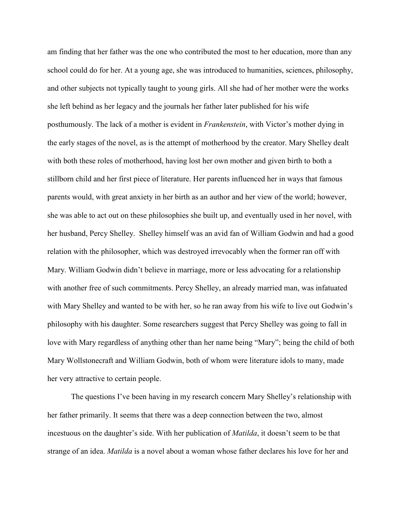am finding that her father was the one who contributed the most to her education, more than any school could do for her. At a young age, she was introduced to humanities, sciences, philosophy, and other subjects not typically taught to young girls. All she had of her mother were the works she left behind as her legacy and the journals her father later published for his wife posthumously. The lack of a mother is evident in *Frankenstein*, with Victor's mother dying in the early stages of the novel, as is the attempt of motherhood by the creator. Mary Shelley dealt with both these roles of motherhood, having lost her own mother and given birth to both a stillborn child and her first piece of literature. Her parents influenced her in ways that famous parents would, with great anxiety in her birth as an author and her view of the world; however, she was able to act out on these philosophies she built up, and eventually used in her novel, with her husband, Percy Shelley. Shelley himself was an avid fan of William Godwin and had a good relation with the philosopher, which was destroyed irrevocably when the former ran off with Mary. William Godwin didn't believe in marriage, more or less advocating for a relationship with another free of such commitments. Percy Shelley, an already married man, was infatuated with Mary Shelley and wanted to be with her, so he ran away from his wife to live out Godwin's philosophy with his daughter. Some researchers suggest that Percy Shelley was going to fall in love with Mary regardless of anything other than her name being "Mary"; being the child of both Mary Wollstonecraft and William Godwin, both of whom were literature idols to many, made her very attractive to certain people.

 The questions I've been having in my research concern Mary Shelley's relationship with her father primarily. It seems that there was a deep connection between the two, almost incestuous on the daughter's side. With her publication of *Matilda*, it doesn't seem to be that strange of an idea. *Matilda* is a novel about a woman whose father declares his love for her and